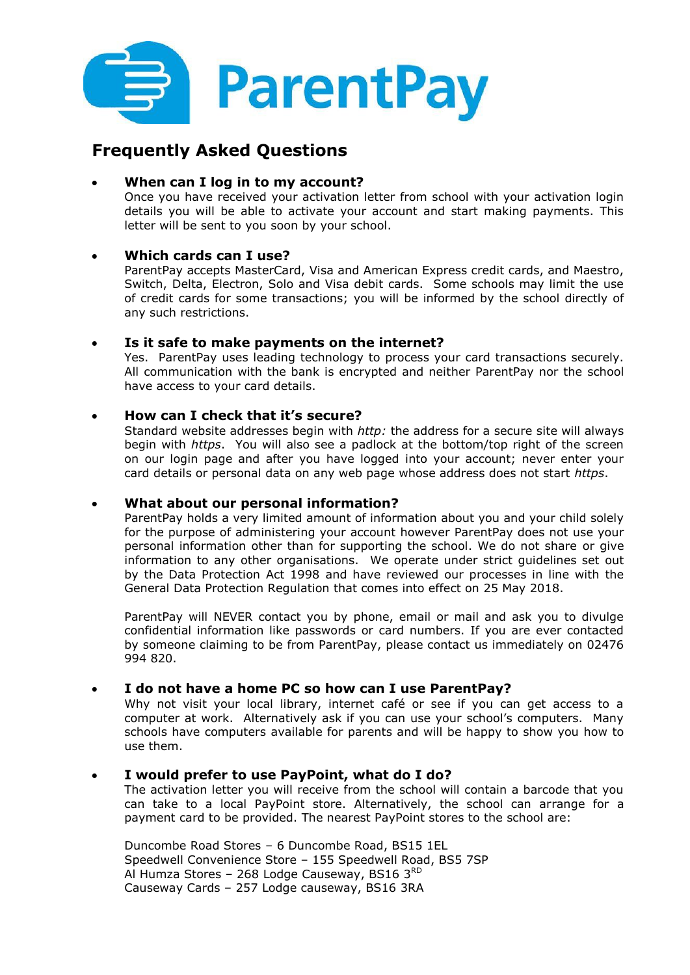

# **Frequently Asked Questions**

# **When can I log in to my account?**

Once you have received your activation letter from school with your activation login details you will be able to activate your account and start making payments. This letter will be sent to you soon by your school.

# **Which cards can I use?**

ParentPay accepts MasterCard, Visa and American Express credit cards, and Maestro, Switch, Delta, Electron, Solo and Visa debit cards. Some schools may limit the use of credit cards for some transactions; you will be informed by the school directly of any such restrictions.

### **Is it safe to make payments on the internet?**

Yes. ParentPay uses leading technology to process your card transactions securely. All communication with the bank is encrypted and neither ParentPay nor the school have access to your card details.

## **How can I check that it's secure?**

Standard website addresses begin with *http:* the address for a secure site will always begin with *https*. You will also see a padlock at the bottom/top right of the screen on our login page and after you have logged into your account; never enter your card details or personal data on any web page whose address does not start *https*.

# **What about our personal information?**

ParentPay holds a very limited amount of information about you and your child solely for the purpose of administering your account however ParentPay does not use your personal information other than for supporting the school. We do not share or give information to any other organisations. We operate under strict guidelines set out by the Data Protection Act 1998 and have reviewed our processes in line with the General Data Protection Regulation that comes into effect on 25 May 2018.

ParentPay will NEVER contact you by phone, email or mail and ask you to divulge confidential information like passwords or card numbers. If you are ever contacted by someone claiming to be from ParentPay, please contact us immediately on 02476 994 820.

# **I do not have a home PC so how can I use ParentPay?**

Why not visit your local library, internet café or see if you can get access to a computer at work. Alternatively ask if you can use your school's computers. Many schools have computers available for parents and will be happy to show you how to use them.

### **I would prefer to use PayPoint, what do I do?**

The activation letter you will receive from the school will contain a barcode that you can take to a local PayPoint store. Alternatively, the school can arrange for a payment card to be provided. The nearest PayPoint stores to the school are:

Duncombe Road Stores – 6 Duncombe Road, BS15 1EL Speedwell Convenience Store – 155 Speedwell Road, BS5 7SP Al Humza Stores – 268 Lodge Causeway, BS16  $3<sup>RD</sup>$ Causeway Cards – 257 Lodge causeway, BS16 3RA